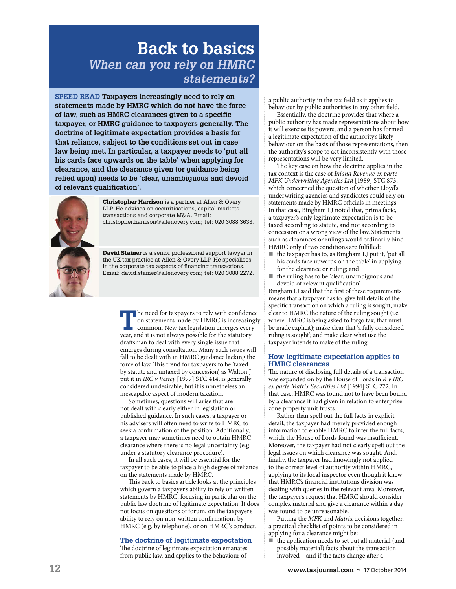# **Back to basics When can you rely on HMRC statements?**

**SPEED READ Taxpayers increasingly need to rely on statements made by HMRC which do not have the force of law, such as HMRC clearances given to a specific taxpayer, or HMRC guidance to taxpayers generally. The doctrine of legitimate expectation provides a basis for that reliance, subject to the conditions set out in case law being met. In particular, a taxpayer needs to 'put all his cards face upwards on the table' when applying for clearance, and the clearance given (or guidance being relied upon) needs to be 'clear, unambiguous and devoid of relevant qualification'.**



Christopher Harrison is a partner at Allen & Overy LLP. He advises on securitisations, capital markets transactions and corporate M&A. Email: christopher.harrison@allenovery.com; tel: 020 3088 3638.

David Stainer is a senior professional support lawyer in the UK tax practice at Allen & Overy LLP. He specialises in the corporate tax aspects of financing transactions. Email: david.stainer@allenovery.com; tel: 020 3088 2272.

> **T** he need for taxpayers to rely with confidence on statements made by HMRC is increasing common. New tax legislation emerges every year, and it is not always possible for the statutory  $\blacksquare$  he need for taxpayers to rely with confidence on statements made by HMRC is increasingly common. New tax legislation emerges every draftsman to deal with every single issue that emerges during consultation. Many such issues will fall to be dealt with in HMRC guidance lacking the force of law. This trend for taxpayers to be 'taxed by statute and untaxed by concession', as Walton J put it in IRC v Vestey [1977] STC 414, is generally considered undesirable, but it is nonetheless an inescapable aspect of modern taxation.

Sometimes, questions will arise that are not dealt with clearly either in legislation or published guidance. In such cases, a taxpayer or his advisers will often need to write to HMRC to seek a confirmation of the position. Additionally, a taxpayer may sometimes need to obtain HMRC clearance where there is no legal uncertainty (e.g. under a statutory clearance procedure).

In all such cases, it will be essential for the taxpayer to be able to place a high degree of reliance on the statements made by HMRC.

This back to basics article looks at the principles which govern a taxpayer's ability to rely on written statements by HMRC, focusing in particular on the public law doctrine of legitimate expectation. It does not focus on questions of forum, on the taxpayer's ability to rely on non-written confirmations by HMRC (e.g. by telephone), or on HMRC's conduct.

## **The doctrine of legitimate expectation**

The doctrine of legitimate expectation emanates from public law, and applies to the behaviour of a public authority in the tax field as it applies to behaviour by public authorities in any other field.

Essentially, the doctrine provides that where a public authority has made representations about how it will exercise its powers, and a person has formed a legitimate expectation of the authority's likely behaviour on the basis of those representations, then the authority's scope to act inconsistently with those representations will be very limited.

The key case on how the doctrine applies in the tax context is the case of Inland Revenue ex parte MFK Underwriting Agencies Ltd [1989] STC 873, which concerned the question of whether Lloyd's underwriting agencies and syndicates could rely on statements made by HMRC officials in meetings. In that case, Bingham LJ noted that, prima facie, a taxpayer's only legitimate expectation is to be taxed according to statute, and not according to concession or a wrong view of the law. Statements such as clearances or rulings would ordinarily bind HMRC only if two conditions are fulfilled:

- the taxpayer has to, as Bingham LJ put it, 'put all his cards face upwards on the table' in applying for the clearance or ruling; and
- ! the ruling has to be 'clear, unambiguous and devoid of relevant qualification'.

Bingham LJ said that the first of these requirements means that a taxpayer has to: give full details of the specific transaction on which a ruling is sought; make clear to HMRC the nature of the ruling sought (i.e. where HMRC is being asked to forgo tax, that must be made explicit); make clear that 'a fully considered ruling is sought'; and make clear what use the taxpayer intends to make of the ruling.

#### **How legitimate expectation applies to HMRC clearances**

The nature of disclosing full details of a transaction was expanded on by the House of Lords in  $R$   $\nu$  IRC ex parte Matrix Securities Ltd [1994] STC 272. In that case, HMRC was found not to have been bound by a clearance it had given in relation to enterprise zone property unit trusts.

Rather than spell out the full facts in explicit detail, the taxpayer had merely provided enough information to enable HMRC to infer the full facts, which the House of Lords found was insufficient. Moreover, the taxpayer had not clearly spelt out the legal issues on which clearance was sought. And, finally, the taxpayer had knowingly not applied to the correct level of authority within HMRC, applying to its local inspector even though it knew that HMRC's financial institutions division was dealing with queries in the relevant area. Moreover, the taxpayer's request that HMRC should consider complex material and give a clearance within a day was found to be unreasonable.

Putting the MFK and Matrix decisions together, a practical checklist of points to be considered in applying for a clearance might be:

 $\blacksquare$  the application needs to set out all material (and possibly material) facts about the transaction involved - and if the facts change after a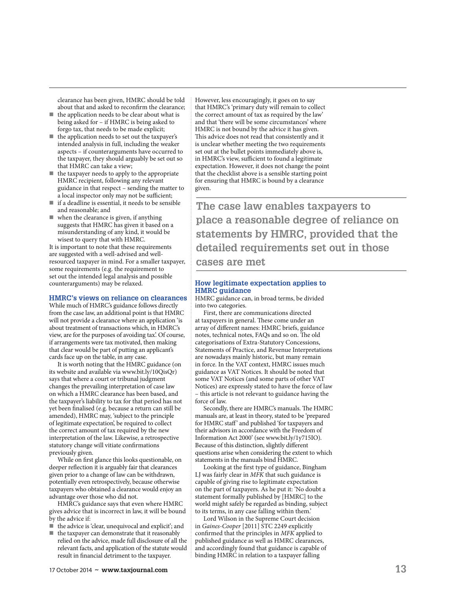clearance has been given, HMRC should be told about that and asked to reconfirm the clearance;

- the application needs to be clear about what is being asked for – if HMRC is being asked to forgo tax, that needs to be made explicit;
- the application needs to set out the taxpayer's intended analysis in full, including the weaker aspects – if counterarguments have occurred to the taxpayer, they should arguably be set out so that HMRC can take a view;
- $\blacksquare$  the taxpayer needs to apply to the appropriate HMRC recipient, following any relevant guidance in that respect – sending the matter to a local inspector only may not be sufficient;
- $\blacksquare$  if a deadline is essential, it needs to be sensible and reasonable; and
- $\blacksquare$  when the clearance is given, if anything suggests that HMRC has given it based on a misunderstanding of any kind, it would be wisest to query that with HMRC.

It is important to note that these requirements are suggested with a well-advised and wellresourced taxpayer in mind. For a smaller taxpayer, some requirements (e.g. the requirement to set out the intended legal analysis and possible counterarguments) may be relaxed.

#### **HMRC's views on reliance on clearances**

While much of HMRC's guidance follows directly from the case law, an additional point is that HMRC will not provide a clearance where an application 'is about treatment of transactions which, in HMRC's view, are for the purposes of avoiding tax'. Of course, if arrangements were tax motivated, then making that clear would be part of putting an applicant's cards face up on the table, in any case.

It is worth noting that the HMRC guidance (on its website and available via www.bit.ly/10QisQr) says that where a court or tribunal judgment changes the prevailing interpretation of case law on which a HMRC clearance has been based, and the taxpayer's liability to tax for that period has not yet been finalised (e.g. because a return can still be amended), HMRC may, 'subject to the principle of legitimate expectation', be required to collect the correct amount of tax required by the new interpretation of the law. Likewise, a retrospective statutory change will vitiate confirmations previously given.

While on first glance this looks questionable, on deeper reflection it is arguably fair that clearances given prior to a change of law can be withdrawn, potentially even retrospectively, because otherwise taxpayers who obtained a clearance would enjoy an advantage over those who did not.

HMRC's guidance says that even where HMRC gives advice that is incorrect in law, it will be bound by the advice if:

- ! the advice is 'clear, unequivocal and explicit'; and
- $\blacksquare$  the taxpayer can demonstrate that it reasonably relied on the advice, made full disclosure of all the relevant facts, and application of the statute would result in financial detriment to the taxpayer.

However, less encouragingly, it goes on to say that HMRC's 'primary duty will remain to collect the correct amount of tax as required by the law' and that 'there will be some circumstances' where HMRC is not bound by the advice it has given. This advice does not read that consistently and it is unclear whether meeting the two requirements set out at the bullet points immediately above is, in HMRC's view, sufficient to found a legitimate expectation. However, it does not change the point that the checklist above is a sensible starting point for ensuring that HMRC is bound by a clearance given.

**The case law enables taxpayers to place a reasonable degree of reliance on statements by HMRC, provided that the detailed requirements set out in those cases are met**

### **How legitimate expectation applies to HMRC guidance**

HMRC guidance can, in broad terms, be divided into two categories.

First, there are communications directed at taxpayers in general. These come under an array of different names: HMRC briefs, guidance notes, technical notes, FAQs and so on. The old categorisations of Extra-Statutory Concessions, Statements of Practice, and Revenue Interpretations are nowadays mainly historic, but many remain in force. In the VAT context, HMRC issues much guidance as VAT Notices. It should be noted that some VAT Notices (and some parts of other VAT Notices) are expressly stated to have the force of law – this article is not relevant to guidance having the force of law.

Secondly, there are HMRC's manuals. The HMRC manuals are, at least in theory, stated to be 'prepared for HMRC staff' and published 'for taxpayers and their advisors in accordance with the Freedom of Information Act 2000' (see www.bit.ly/1y715IO). Because of this distinction, slightly different questions arise when considering the extent to which statements in the manuals bind HMRC.

Looking at the first type of guidance, Bingham LJ was fairly clear in MFK that such guidance is capable of giving rise to legitimate expectation on the part of taxpayers. As he put it: 'No doubt a statement formally published by [HMRC] to the world might safely be regarded as binding, subject to its terms, in any case falling within them.'

Lord Wilson in the Supreme Court decision in Gaines-Cooper [2011] STC 2249 explicitly confirmed that the principles in MFK applied to published guidance as well as HMRC clearances, and accordingly found that guidance is capable of binding HMRC in relation to a taxpayer falling